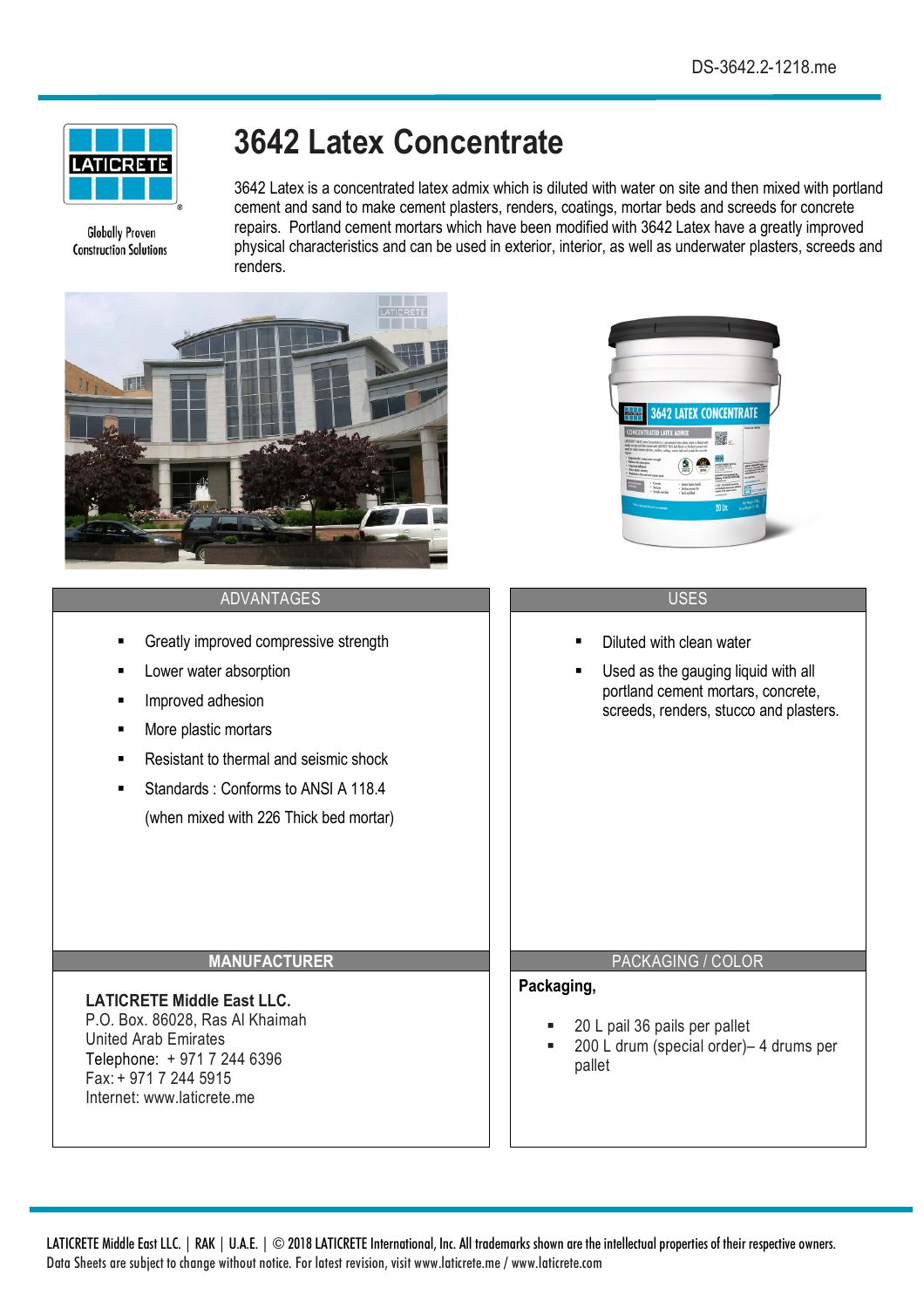

**Globally Proven Construction Solutions** 

# **3642 Latex Concentrate**

3642 Latex is a concentrated latex admix which is diluted with water on site and then mixed with portland cement and sand to make cement plasters, renders, coatings, mortar beds and screeds for concrete repairs. Portland cement mortars which have been modified with 3642 Latex have a greatly improved physical characteristics and can be used in exterior, interior, as well as underwater plasters, screeds and renders.

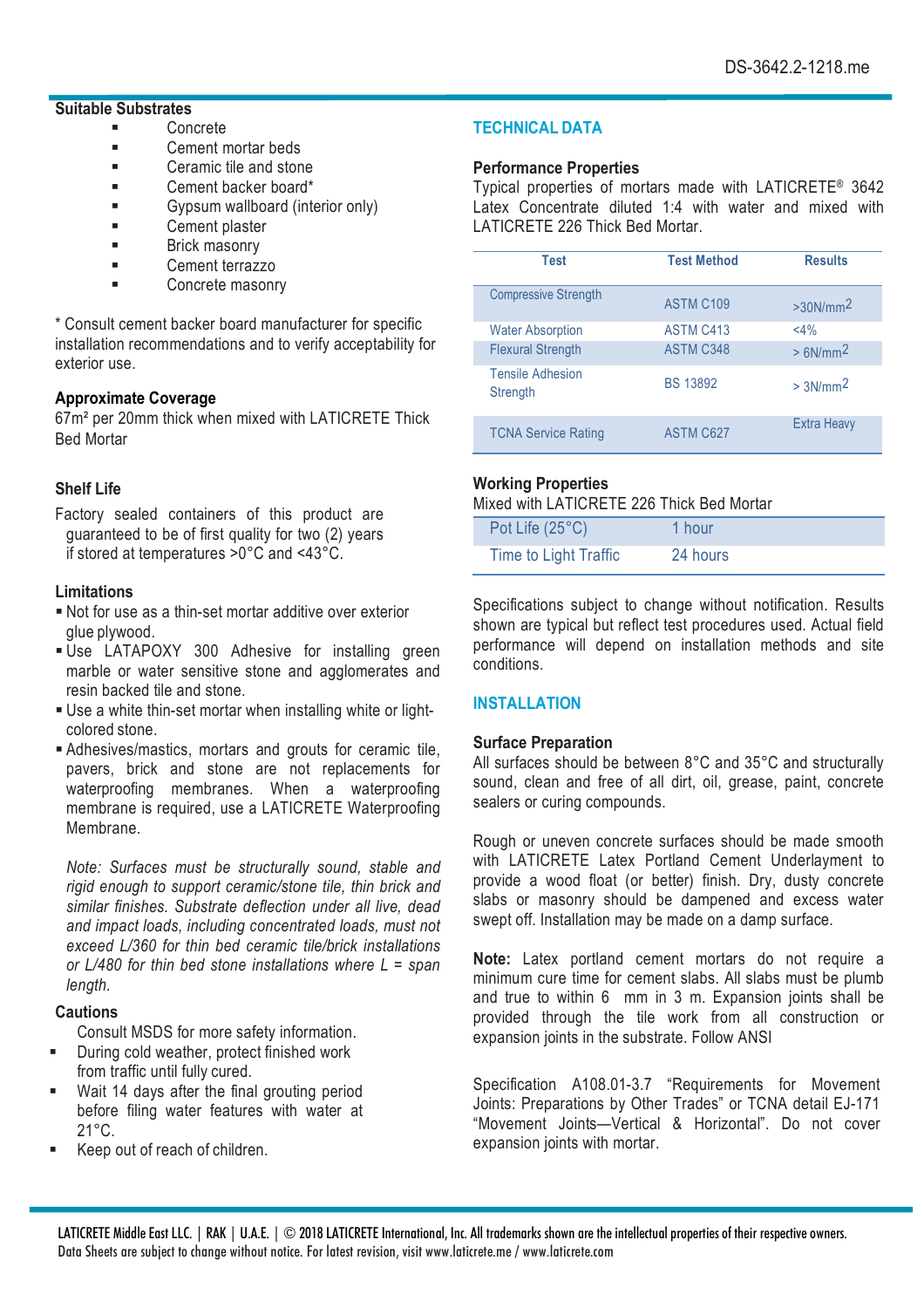## **Suitable Substrates**

- § Concrete
- Cement mortar beds
- Ceramic tile and stone
- Cement backer board\*
- Gypsum wallboard (interior only)
- Cement plaster
- **■** Brick masonry
- Cement terrazzo
- Concrete masonry

\* Consult cement backer board manufacturer for specific installation recommendations and to verify acceptability for exterior use.

## **Approximate Coverage**

67m² per 20mm thick when mixed with LATICRETE Thick Bed Mortar

# **Shelf Life**

Factory sealed containers of this product are guaranteed to be of first quality for two (2) years if stored at temperatures >0°C and <43°C.

## **Limitations**

- Not for use as a thin-set mortar additive over exterior glue plywood.
- § Use LATAPOXY 300 Adhesive for installing green marble or water sensitive stone and agglomerates and resin backed tile and stone.
- § Use a white thin-set mortar when installing white or lightcolored stone.
- § Adhesives/mastics, mortars and grouts for ceramic tile, pavers, brick and stone are not replacements for waterproofing membranes. When a waterproofing membrane is required, use a LATICRETE Waterproofing Membrane.

*Note: Surfaces must be structurally sound, stable and rigid enough to support ceramic/stone tile, thin brick and similar finishes. Substrate deflection under all live, dead and impact loads, including concentrated loads, must not exceed L/360 for thin bed ceramic tile/brick installations or L/480 for thin bed stone installations where L = span length.*

# **Cautions**

Consult MSDS for more safety information.

- § During cold weather, protect finished work from traffic until fully cured.
- Wait 14 days after the final grouting period before filing water features with water at  $21^{\circ}$ C.
- § Keep out of reach of children.

# **TECHNICAL DATA**

## **Performance Properties**

Typical properties of mortars made with LATICRETE® 3642 Latex Concentrate diluted 1:4 with water and mixed with LATICRETE 226 Thick Bed Mortar.

| Test                                | <b>Test Method</b> | <b>Results</b>     |
|-------------------------------------|--------------------|--------------------|
| <b>Compressive Strength</b>         | ASTM C109          | $>30N/mm^2$        |
| <b>Water Absorption</b>             | <b>ASTM C413</b>   | <4%                |
| <b>Flexural Strength</b>            | ASTM C348          | $> 6N/mm^2$        |
| <b>Tensile Adhesion</b><br>Strength | <b>BS 13892</b>    | $> 3N/mm^2$        |
| <b>TCNA Service Rating</b>          | <b>ASTM C627</b>   | <b>Extra Heavy</b> |

# **Working Properties**

Mixed with LATICRETE 226 Thick Bed Mortar

| Pot Life (25°C)       | 1 hour   |
|-----------------------|----------|
| Time to Light Traffic | 24 hours |

Specifications subject to change without notification. Results shown are typical but reflect test procedures used. Actual field performance will depend on installation methods and site conditions.

# **INSTALLATION**

## **Surface Preparation**

All surfaces should be between 8°C and 35°C and structurally sound, clean and free of all dirt, oil, grease, paint, concrete sealers or curing compounds.

Rough or uneven concrete surfaces should be made smooth with LATICRETE Latex Portland Cement Underlayment to provide a wood float (or better) finish. Dry, dusty concrete slabs or masonry should be dampened and excess water swept off. Installation may be made on a damp surface.

**Note:** Latex portland cement mortars do not require a minimum cure time for cement slabs. All slabs must be plumb and true to within 6 mm in 3 m. Expansion joints shall be provided through the tile work from all construction or expansion joints in the substrate. Follow ANSI

Specification A108.01-3.7 "Requirements for Movement Joints: Preparations by Other Trades" or TCNA detail EJ-171 "Movement Joints—Vertical & Horizontal". Do not cover expansion joints with mortar.